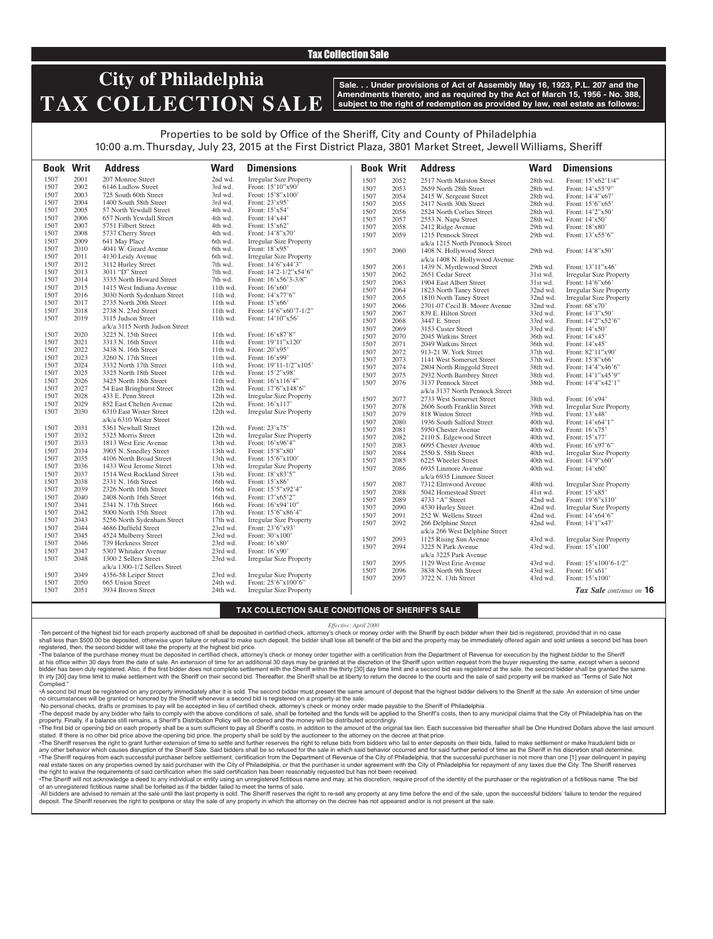## Tax Collection Sale

# **City of Philadelphia TAX COLLECTION SALE**

**Sale. . . Under provisions of Act of Assembly May 16, 1923, P.L. 207 and the Amendments thereto, and as required by the Act of March 15, 1956 - No. 388, subject to the right of redemption as provided by law, real estate as follows:**

# Properties to be sold by Office of the Sheriff, City and County of Philadelphia 10:00 a.m. Thursday, July 23, 2015 at the First District Plaza, 3801 Market Street, Jewell Williams, Sheriff

|      | <b>Book Writ</b> | <b>Address</b>                 | <b>Ward</b> | <b>Dimensions</b>              | <b>Book Writ</b> |      | <b>Address</b>                  | <b>Ward</b> | <b>Dimensions</b>              |
|------|------------------|--------------------------------|-------------|--------------------------------|------------------|------|---------------------------------|-------------|--------------------------------|
| 1507 | 2001             | 207 Monroe Street              | 2nd wd.     | <b>Irregular Size Property</b> | 1507             | 2052 | 2517 North Marston Street       | 28th wd.    | Front: 15'x62'1/4"             |
| 1507 | 2002             | 6146 Ludlow Street             | 3rd wd.     | Front: 15'10"x90'              | 1507             | 2053 | 2659 North 28th Street          | 28th wd.    | Front: 14'x55'9"               |
| 1507 | 2003             | 725 South 60th Street          | 3rd wd.     | Front: 15'8"x100'              | 1507             | 2054 | 2415 W. Sergeant Street         | 28th wd.    | Front: 14'4"x67'               |
| 1507 | 2004             | 1400 South 58th Street         | 3rd wd.     | Front: 23'x95'                 | 1507             | 2055 | 2417 North 30th Street          | 28th wd.    | Front: 15'6"x65'               |
| 1507 | 2005             | 57 North Yewdall Street        | 4th wd.     | Front: 15'x54'                 | 1507             | 2056 | 2524 North Corlies Street       | 28th wd.    | Front: 14'2"x50'               |
| 1507 | 2006             | 657 North Yewdall Street       | 4th wd.     | Front: 14'x44'                 | 1507             | 2057 | 2553 N. Napa Street             | 28th wd.    | Front: $14'x50'$               |
| 1507 | 2007             | 5751 Filbert Street            | 4th wd.     | Front: 15'x62'                 | 1507             | 2058 | 2412 Ridge Avenue               | 29th wd.    | Front: 18'x80'                 |
| 1507 | 2008             | 5737 Cherry Street             | 4th wd.     | Front: 14'8"x70"               | 1507             | 2059 | 1215 Pennock Street             | 29th wd.    | Front: 13'x55'6"               |
| 1507 | 2009             | 641 May Place                  | 6th wd.     | Irregular Size Property        |                  |      | a/k/a 1215 North Pennock Street |             |                                |
| 1507 | 2010             | 4041 W. Girard Avenue          | 6th wd.     | Front: 18'x95'                 | 1507             | 2060 | 1408 N. Hollywood Street        | 29th wd.    | Front: 14'8"x50'               |
| 1507 | 2011             | 4130 Leidy Avenue              | 6th wd.     | <b>Irregular Size Property</b> |                  |      |                                 |             |                                |
| 1507 | 2012             | 3112 Hurley Street             | 7th wd.     | Front: 14'6"x44'3"             |                  |      | a/k/a 1408 N. Hollywood Avenue  |             |                                |
| 1507 | 2013             | 3011 "D" Street                | 7th wd.     | Front: $14'2 - 1/2''x54'6''$   | 1507             | 2061 | 1439 N. Myrtlewood Street       | 29th wd.    | Front: 13'11"x46'              |
| 1507 | 2014             | 3335 North Howard Street       | 7th wd.     | Front: 16'x56'3-3/8"           | 1507             | 2062 | 2651 Cedar Street               | 31st wd.    | <b>Irregular Size Property</b> |
| 1507 | 2015             | 1415 West Indiana Avenue       | 11th wd.    | Front: 16'x60'                 | 1507             | 2063 | 1904 East Albert Street         | 31st wd.    | Front: 14'6"x66'               |
| 1507 | 2016             | 3030 North Sydenham Street     | 11th wd.    | Front: 14'x77'6"               | 1507             | 2064 | 1823 North Taney Street         | 32nd wd.    | <b>Irregular Size Property</b> |
| 1507 | 2017             | 2735 North 20th Street         | 11th wd.    | Front: 15'x66'                 | 1507             | 2065 | 1810 North Taney Street         | 32nd wd.    | <b>Irregular Size Property</b> |
| 1507 | 2018             | 2738 N. 23rd Street            | 11th wd.    | Front: 14'6"x60'7-1/2"         | 1507             | 2066 | 2701-07 Cecil B. Moore Avenue   | 32nd wd.    | Front: 68'x70'                 |
| 1507 | 2019             | 3115 Judson Street             | 11th wd.    | Front: 14'10"x56'              | 1507             | 2067 | 839 E. Hilton Street            | 33rd wd.    | Front: 14'3"x50'               |
|      |                  |                                |             |                                | 1507             | 2068 | 3447 E. Street                  | 33rd wd.    | Front: 14'2"x52'6"             |
|      |                  | a/k/a 3115 North Judson Street |             |                                | 1507             | 2069 | 3153 Custer Street              | 33rd wd.    | Front: 14'x50'                 |
| 1507 | 2020             | 3225 N. 15th Street            | 11th wd.    | Front: 16'x87'8"               | 1507             | 2070 | 2045 Watkins Street             | 36th wd.    | Front: 14'x45'                 |
| 1507 | 2021             | 3313 N. 16th Street            | 11th wd.    | Front: 19'11"x120'             | 1507             | 2071 | 2049 Watkins Street             | 36th wd.    | Front: 14'x45'                 |
| 1507 | 2022             | 3438 N. 16th Street            | 11th wd.    | Front: 20'x95'                 | 1507             | 2072 | 913-21 W. York Street           | 37th wd.    | Front: 82'11"x90'              |
| 1507 | 2023             | 3260 N. 17th Street            | 11th wd.    | Front: 16'x99'                 | 1507             | 2073 | 1141 West Somerset Street       | 37th wd.    | Front: 15'8"x66'               |
| 1507 | 2024             | 3332 North 17th Street         | 11th wd.    | Front: 19'11-1/2"x105'         | 1507             | 2074 | 2804 North Ringgold Street      | 38th wd.    | Front: 14'4"x46'6"             |
| 1507 | 2025             | 3325 North 18th Street         | 11th wd.    | Front: 15'2"x98'               | 1507             | 2075 | 2932 North Bambrey Street       | 38th wd.    | Front: 14'1"x45'9"             |
| 1507 | 2026             | 3425 North 18th Street         | 11th wd.    | Front: 16'x116'4"              | 1507             | 2076 | 3137 Pennock Street             | 38th wd.    | Front: 14'4"x42'1"             |
| 1507 | 2027             | 54 East Bringhurst Street      | 12th wd.    | Front: 17'6"x148'6"            |                  |      | a/k/a 3137 North Pennock Street |             |                                |
| 1507 | 2028             | 433 E. Penn Street             | 12th wd.    | <b>Irregular Size Property</b> | 1507             | 2077 | 2733 West Somerset Street       | 38th wd.    | Front: 16'x94'                 |
| 1507 | 2029             | 852 East Chelten Avenue        | 12th wd.    | Front: 16'x117'                | 1507             | 2078 | 2606 South Franklin Street      | 39th wd.    | <b>Irregular Size Property</b> |
| 1507 | 2030             | 6310 East Wister Street        | 12th wd.    | Irregular Size Property        | 1507             | 2079 | 818 Winton Street               | 39th wd.    | Front: 13'x48'                 |
|      |                  | a/k/a 6310 Wister Street       |             |                                | 1507             | 2080 | 1936 South Salford Street       | 40th wd.    | Front: 14'x64'1"               |
| 1507 | 2031             | 5361 Newhall Street            | 12th wd.    | Front: 23'x75'                 | 1507             | 2081 | 5950 Chester Avenue             | 40th wd.    | Front: 16'x75'                 |
| 1507 | 2032             | 5325 Morris Street             | 12th wd.    | <b>Irregular Size Property</b> | 1507             | 2082 | 2110 S. Edgewood Street         | 40th wd.    | Front: 15'x77'                 |
| 1507 | 2033             | 1813 West Erie Avenue          | 13th wd.    | Front: 16'x96'4"               | 1507             | 2083 | 6095 Chester Avenue             | 40th wd.    | Front: 16'x97'6"               |
| 1507 | 2034             | 3905 N. Smedley Street         | 13th wd.    | Front: 15'8"x80'               | 1507             | 2084 | 2550 S. 58th Street             | 40th wd.    | <b>Irregular Size Property</b> |
| 1507 | 2035             | 4106 North Broad Street        | 13th wd.    | Front: 15'6"x100"              | 1507             | 2085 | 6225 Wheeler Street             | 40th wd.    | Front: 14'9"x60'               |
| 1507 | 2036             | 1433 West Jerome Street        | 13th wd.    | <b>Irregular Size Property</b> | 1507             | 2086 | 6935 Linmore Avenue             | 40th wd.    | Front: 14'x60'                 |
| 1507 | 2037             | 1514 West Rockland Street      | 13th wd.    | Front: 18'x83'5"               |                  |      | a/k/a 6935 Linmore Street       |             |                                |
| 1507 | 2038             | 2331 N. 16th Street            | 16th wd.    | Front: 15'x86'                 | 1507             | 2087 | 7312 Elmwood Avenue             | $40th$ wd.  | <b>Irregular Size Property</b> |
| 1507 | 2039             | 2326 North 16th Street         | 16th wd.    | Front: 15'5"x92'4"             | 1507             | 2088 | 5042 Homestead Street           | 41st wd.    | Front: 15'x85'                 |
| 1507 | 2040             | 2408 North 16th Street         | 16th wd.    | Front: 17'x65'2"               | 1507             | 2089 | 4733 "A" Street                 | 42nd wd.    | Front: 19'6"x110"              |
| 1507 | 2041             | 2341 N. 17th Street            | 16th wd.    | Front: 16'x94'10"              | 1507             | 2090 | 4530 Hurley Street              | 42nd wd.    | <b>Irregular Size Property</b> |
| 1507 | 2042             | 5000 North 15th Street         | 17th wd.    | Front: 15'6"x86'4"             | 1507             | 2091 | 252 W. Wellens Street           | 42nd wd.    | Front: 14'x64'6"               |
| 1507 | 2043             | 5256 North Sydenham Street     | 17th wd.    | <b>Irregular Size Property</b> | 1507             | 2092 | 266 Delphine Street             | 42nd wd.    | Front: 14'1"x47'               |
| 1507 | 2044             | 4686 Duffield Street           | 23rd wd.    | Front: 23'6"x93'               |                  |      |                                 |             |                                |
| 1507 | 2045             | 4524 Mulberry Street           | 23rd wd.    | Front: 30'x100'                |                  |      | a/k/a 266 West Delphine Street  |             |                                |
| 1507 | 2046             | 739 Herkness Street            | 23rd wd.    | Front: 16'x80'                 | 1507             | 2093 | 1125 Rising Sun Avenue          | 43rd wd.    | <b>Irregular Size Property</b> |
| 1507 | 2047             | 5307 Whitaker Avenue           | 23rd wd.    | Front: 16'x90'                 | 1507             | 2094 | 3225 N Park Avenue              | 43rd wd.    | Front: 15'x100'                |
| 1507 | 2048             | 1300 2 Sellers Street          | 23rd wd.    | Irregular Size Property        |                  |      | a/k/a 3225 Park Avenue          |             |                                |
|      |                  | a/k/a 1300-1/2 Sellers Street  |             |                                | 1507             | 2095 | 1129 West Erie Avenue           | 43rd wd.    | Front: 15'x100'6-1/2"          |
| 1507 | 2049             | 4356-58 Leiper Street          | 23rd wd.    | <b>Irregular Size Property</b> | 1507             | 2096 | 3838 North 9th Street           | 43rd wd.    | Front: 16'x61'                 |
| 1507 | 2050             | 665 Union Street               | 24th wd.    | Front: 25'6"x100'6"            | 1507             | 2097 | 3722 N. 13th Street             | 43rd wd.    | Front: 15'x100'                |
| 1507 | 2051             | 3934 Brown Street              | 24th wd.    | <b>Irregular Size Property</b> |                  |      |                                 |             | Tax Sale continues on 16       |

### **TAX COLLECTION SALE CONDITIONS OF SHERIFF'S SALE**

#### *Effective: April 2000*

·Ten percent of the highest bid for each property auctioned off shall be deposited in certified check, attorney's check or money order with the Sheriff by each bidder when their bid is registered, provided that in no case shall less than \$500.00 be deposited, otherwise upon failure or refusal to make such deposit, the bidder shall lose all benefit of the bid and the property may be immediately offered again and sold unless a second bid has registered, then, the second bidder will take the property at the highest bid price.

•The balance of the purchase money must be deposited in certified check, attorney's check or money order together with a certification from the Department of Revenue for execution by the highest bidder to the Sheriff at his office within 30 days from the date of sale. An extension of time for an additional 30 days may be granted at the discretion of the Sheriff upon written request from the buyer requesting the same, except when a second bidder has been duly registered. Also, if the first bidder does not complete settlement with the Sheriff within the thirty [30] day time limit and a second bid was registered at the sale, the second bidder shall be granted th irty [30] day time limit to make settlement with the Sheriff on their second bid. Thereafter, the Sheriff shall be at liberty to return the decree to the courts and the sale of said property will be marked as "Terms of Complied.

•A second bid must be registered on any property immediately after it is sold. The second bidder must present the same amount of deposit that the highest bidder delivers to the Sheriff at the sale. An extension of time under no circumstances will be granted or honored by the Sheriff whenever a second bid is registered on a property at the sale.

·No personal checks, drafts or promises to pay will be accepted in lieu of certified check, attorney's check or money order made payable to the Sheriff of Philadelphia .

-The deposit made by any bidder who fails to comply with the above conditions of sale, shall be forteited and the funds will be applied to the Sheriff's costs, then to any municipal claims that the City of Philadelphia has property. Finally, if a balance still remains, a Sheriff's Distribution Policy will be ordered and the money will be distributed accordingly.

The first bid or opening bid on each property shall be a sum sufficient to pay all Sheriff's costs, in addition to the amount of the original tax lien. Each successive bid thereafter shall be One Hundred Dollars above the stated. If there is no other bid price above the opening bid price, the property shall be sold by the auctioneer to the attorney on the decree at that price.

·The Sheriff reserves the right to grant further extension of time to settle and further reserves the right to refuse bids from bidders who fail to enter deposits on their bids, failed to make settlement or make fraudulent any other behavior which causes disruption of the Sheriff Sale. Said bidders shall be so refused for the sale in which said behavior occurred and for said further period of time as the Sheriff in his discretion shall deter •The Sheriff requires from each successful purchaser before settlement, certification from the Department of Revenue of the City of Philadelphia, that the successful purchaser is not more than one [1] year delinquent in pa real estate taxes on any properties owned by said purchaser with the City of Philadelphia, or that the purchaser is under agreement with the City of Philadelphia for repayment of any taxes due the City. The Sheriff reserve the right to waive the requirements of said certification when the said certification has been reasonably requested but has not been received.

The Sheriff will not acknowledge a deed to any individual or entity using an unregistered fictitious name and may, at his discretion, require proof of the identity of the purchaser or the registration of a fictitious name. of an unregistered fictitious name shall be forfeited as if the bidder failed to meet the terms of sale.

All bidders are advised to remain at the sale until the last property is sold. The Sheriff reserves the right to re-sell any property at any time before the end of the sale, upon the successful bidders' failure to tender t deposit. The Sheriff reserves the right to postpone or stay the sale of any property in which the attorney on the decree has not appeared and/or is not present at the sale.